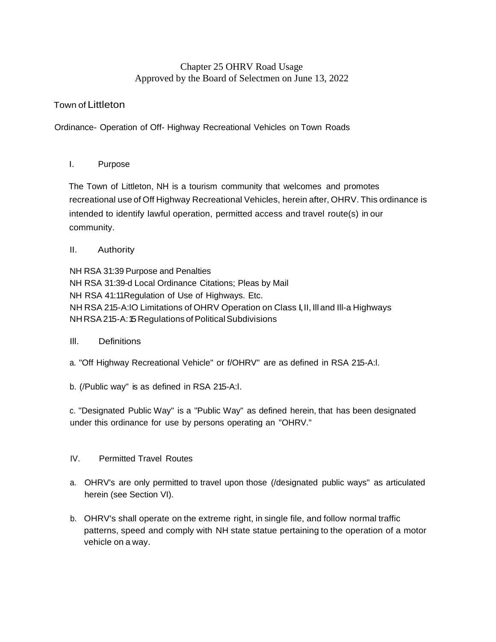# Chapter 25 OHRV Road Usage Approved by the Board of Selectmen on June 13, 2022

## Town of Littleton

Ordinance- Operation of Off- Highway Recreational Vehicles on Town Roads

## I. Purpose

The Town of Littleton, NH is a tourism community that welcomes and promotes recreational use of Off Highway Recreational Vehicles, herein after, OHRV. This ordinance is intended to identify lawful operation, permitted access and travel route(s) in our community.

## II. Authority

NH RSA 31:39 Purpose and Penalties NH RSA 31:39-d Local Ordinance Citations; Pleas by Mail NH RSA 41:11Regulation of Use of Highways. Etc. NH RSA 215-A:lO Limitations of OHRV Operation on Class I,II, Ill and Ill-a Highways NH RSA 215-A: 15 Regulations of Political Subdivisions

#### Ill. Definitions

a. "Off Highway Recreational Vehicle" or f/OHRV" are as defined in RSA 215-A:l.

b. (/Public way" is as defined in RSA 215-A:l.

c. "Designated Public Way" is a "Public Way" as defined herein, that has been designated under this ordinance for use by persons operating an "OHRV."

## IV. Permitted Travel Routes

- a. OHRV's are only permitted to travel upon those (/designated public ways" as articulated herein (see Section VI).
- b. OHRV's shall operate on the extreme right, in single file, and follow normal traffic patterns, speed and comply with NH state statue pertaining to the operation of a motor vehicle on a way.